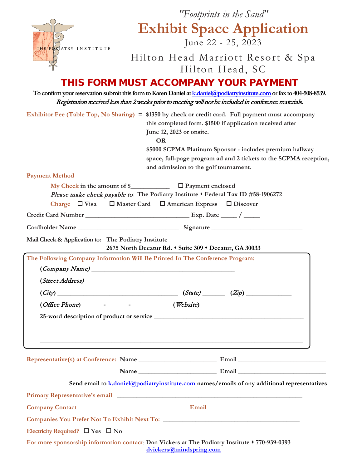

## *"Footprints in the Sand"* **Exhibit Space Application** June 22 - 25, 2023

Hilton Head Marriott Resort & Spa

### Hilton Head, SC THIS FORM MUST ACCOMPANY YOUR PAYMENT

#### **To confirm your reservation submit this form to Karen Daniel a[t k.daniel@podiatryinstitute.com](mailto:k.daniel@podiatryinstitute.com)or fax to 404-508-8539.**  Registration received less than 2 weeks prior to meeting will not be included in conference materials.

|                                                                                                                                            | Exhibitor Fee (Table Top, No Sharing) = \$1350 by check or credit card. Full payment must accompany<br>this completed form. \$1500 if application received after<br>June 12, 2023 or onsite.<br><b>OR</b><br>\$5000 SCPMA Platinum Sponsor - includes premium hallway<br>space, full-page program ad and 2 tickets to the SCPMA reception,<br>and admission to the golf tournament. |
|--------------------------------------------------------------------------------------------------------------------------------------------|-------------------------------------------------------------------------------------------------------------------------------------------------------------------------------------------------------------------------------------------------------------------------------------------------------------------------------------------------------------------------------------|
| <b>Payment Method</b>                                                                                                                      |                                                                                                                                                                                                                                                                                                                                                                                     |
|                                                                                                                                            | Please make check payable to: The Podiatry Institute . Federal Tax ID #58-1906272<br>Charge $\Box$ Visa $\Box$ Master Card $\Box$ American Express $\Box$ Discover                                                                                                                                                                                                                  |
|                                                                                                                                            |                                                                                                                                                                                                                                                                                                                                                                                     |
|                                                                                                                                            |                                                                                                                                                                                                                                                                                                                                                                                     |
| Mail Check & Application to: The Podiatry Institute                                                                                        | 2675 North Decatur Rd. • Suite 309 • Decatur, GA 30033                                                                                                                                                                                                                                                                                                                              |
| The Following Company Information Will Be Printed In The Conference Program:<br>$\left( \textit{Company Name} \right)$<br>(Street Address) |                                                                                                                                                                                                                                                                                                                                                                                     |
|                                                                                                                                            | $(City)$ (City) (State) (State) (Xip)                                                                                                                                                                                                                                                                                                                                               |
|                                                                                                                                            | $(Office Phone)$ $     (Website)$ $($                                                                                                                                                                                                                                                                                                                                               |
|                                                                                                                                            |                                                                                                                                                                                                                                                                                                                                                                                     |
|                                                                                                                                            |                                                                                                                                                                                                                                                                                                                                                                                     |
| Name                                                                                                                                       | Email                                                                                                                                                                                                                                                                                                                                                                               |
|                                                                                                                                            | Send email to $k$ , daniel $\omega$ podiatry institute, com names / emails of any additional representatives                                                                                                                                                                                                                                                                        |
|                                                                                                                                            |                                                                                                                                                                                                                                                                                                                                                                                     |
|                                                                                                                                            |                                                                                                                                                                                                                                                                                                                                                                                     |
|                                                                                                                                            |                                                                                                                                                                                                                                                                                                                                                                                     |
| Electricity Required? $\Box$ Yes $\Box$ No                                                                                                 |                                                                                                                                                                                                                                                                                                                                                                                     |
|                                                                                                                                            | For more sponsorship information contact: Dan Vickers at The Podiatry Institute $*$ 770-939-0393<br>dvickers@mindspring.com                                                                                                                                                                                                                                                         |